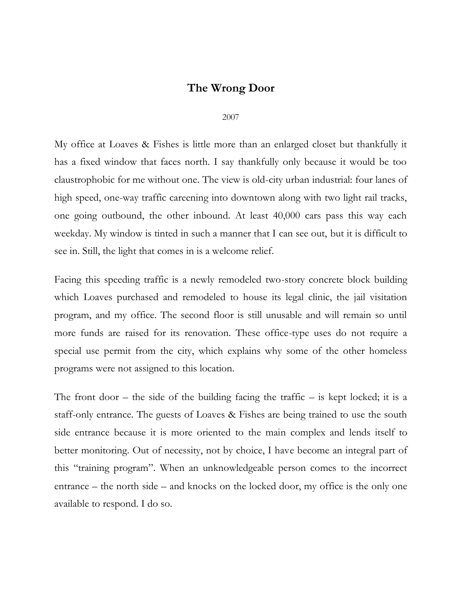## **The Wrong Door**

## 2007

My office at Loaves & Fishes is little more than an enlarged closet but thankfully it has a fixed window that faces north. I say thankfully only because it would be too claustrophobic for me without one. The view is old-city urban industrial: four lanes of high speed, one-way traffic careening into downtown along with two light rail tracks, one going outbound, the other inbound. At least 40,000 cars pass this way each weekday. My window is tinted in such a manner that I can see out, but it is difficult to see in. Still, the light that comes in is a welcome relief.

Facing this speeding traffic is a newly remodeled two-story concrete block building which Loaves purchased and remodeled to house its legal clinic, the jail visitation program, and my office. The second floor is still unusable and will remain so until more funds are raised for its renovation. These office-type uses do not require a special use permit from the city, which explains why some of the other homeless programs were not assigned to this location.

The front door  $-$  the side of the building facing the traffic  $-$  is kept locked; it is a staff-only entrance. The guests of Loaves & Fishes are being trained to use the south side entrance because it is more oriented to the main complex and lends itself to better monitoring. Out of necessity, not by choice, I have become an integral part of this "training program". When an unknowledgeable person comes to the incorrect entrance – the north side – and knocks on the locked door, my office is the only one available to respond. I do so.